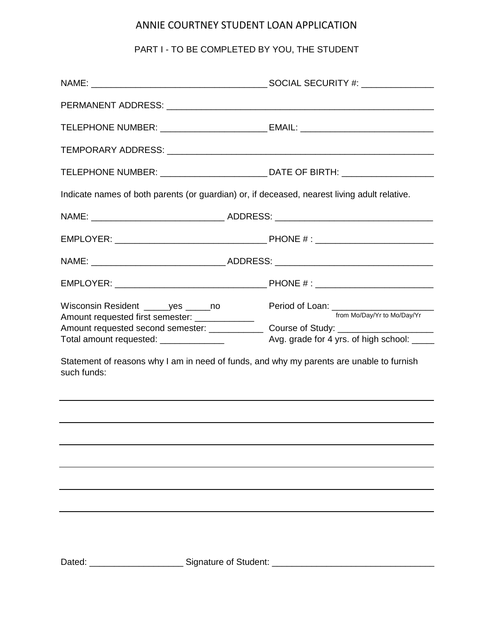## ANNIE COURTNEY STUDENT LOAN APPLICATION

## PART I - TO BE COMPLETED BY YOU, THE STUDENT

| TELEPHONE NUMBER: ______________________________EMAIL: _________________________<br>TELEPHONE NUMBER: ________________________________DATE OF BIRTH: _______________<br>Indicate names of both parents (or guardian) or, if deceased, nearest living adult relative.<br>NAME: __________________________________ADDRESS: _______________________________<br>Period of Loan: __________________<br>Amount requested first semester: ______________<br>Total amount requested: _______________<br>Statement of reasons why I am in need of funds, and why my parents are unable to furnish |                                       |                                                                            |
|------------------------------------------------------------------------------------------------------------------------------------------------------------------------------------------------------------------------------------------------------------------------------------------------------------------------------------------------------------------------------------------------------------------------------------------------------------------------------------------------------------------------------------------------------------------------------------------|---------------------------------------|----------------------------------------------------------------------------|
|                                                                                                                                                                                                                                                                                                                                                                                                                                                                                                                                                                                          |                                       |                                                                            |
|                                                                                                                                                                                                                                                                                                                                                                                                                                                                                                                                                                                          |                                       |                                                                            |
|                                                                                                                                                                                                                                                                                                                                                                                                                                                                                                                                                                                          |                                       |                                                                            |
|                                                                                                                                                                                                                                                                                                                                                                                                                                                                                                                                                                                          |                                       |                                                                            |
|                                                                                                                                                                                                                                                                                                                                                                                                                                                                                                                                                                                          |                                       |                                                                            |
|                                                                                                                                                                                                                                                                                                                                                                                                                                                                                                                                                                                          |                                       |                                                                            |
|                                                                                                                                                                                                                                                                                                                                                                                                                                                                                                                                                                                          |                                       |                                                                            |
|                                                                                                                                                                                                                                                                                                                                                                                                                                                                                                                                                                                          |                                       |                                                                            |
|                                                                                                                                                                                                                                                                                                                                                                                                                                                                                                                                                                                          |                                       |                                                                            |
|                                                                                                                                                                                                                                                                                                                                                                                                                                                                                                                                                                                          | Wisconsin Resident ______yes ______no |                                                                            |
|                                                                                                                                                                                                                                                                                                                                                                                                                                                                                                                                                                                          |                                       |                                                                            |
|                                                                                                                                                                                                                                                                                                                                                                                                                                                                                                                                                                                          |                                       |                                                                            |
|                                                                                                                                                                                                                                                                                                                                                                                                                                                                                                                                                                                          | such funds:                           | from Mo/Day/Yr to Mo/Day/Yr<br>Avg. grade for 4 yrs. of high school: _____ |

Dated: \_\_\_\_\_\_\_\_\_\_\_\_\_\_\_\_\_\_\_ Signature of Student: \_\_\_\_\_\_\_\_\_\_\_\_\_\_\_\_\_\_\_\_\_\_\_\_\_\_\_\_\_\_\_\_\_